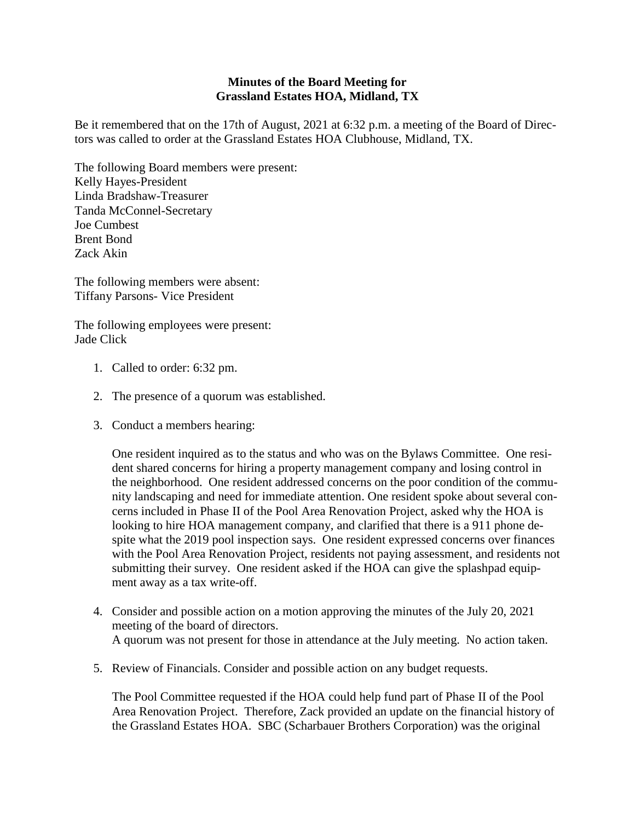## **Minutes of the Board Meeting for Grassland Estates HOA, Midland, TX**

Be it remembered that on the 17th of August, 2021 at 6:32 p.m. a meeting of the Board of Directors was called to order at the Grassland Estates HOA Clubhouse, Midland, TX.

The following Board members were present: Kelly Hayes-President Linda Bradshaw-Treasurer Tanda McConnel-Secretary Joe Cumbest Brent Bond Zack Akin

The following members were absent: Tiffany Parsons- Vice President

The following employees were present: Jade Click

- 1. Called to order: 6:32 pm.
- 2. The presence of a quorum was established.
- 3. Conduct a members hearing:

One resident inquired as to the status and who was on the Bylaws Committee. One resident shared concerns for hiring a property management company and losing control in the neighborhood. One resident addressed concerns on the poor condition of the community landscaping and need for immediate attention. One resident spoke about several concerns included in Phase II of the Pool Area Renovation Project, asked why the HOA is looking to hire HOA management company, and clarified that there is a 911 phone despite what the 2019 pool inspection says. One resident expressed concerns over finances with the Pool Area Renovation Project, residents not paying assessment, and residents not submitting their survey. One resident asked if the HOA can give the splashpad equipment away as a tax write-off.

- 4. Consider and possible action on a motion approving the minutes of the July 20, 2021 meeting of the board of directors. A quorum was not present for those in attendance at the July meeting. No action taken.
- 5. Review of Financials. Consider and possible action on any budget requests.

The Pool Committee requested if the HOA could help fund part of Phase II of the Pool Area Renovation Project. Therefore, Zack provided an update on the financial history of the Grassland Estates HOA. SBC (Scharbauer Brothers Corporation) was the original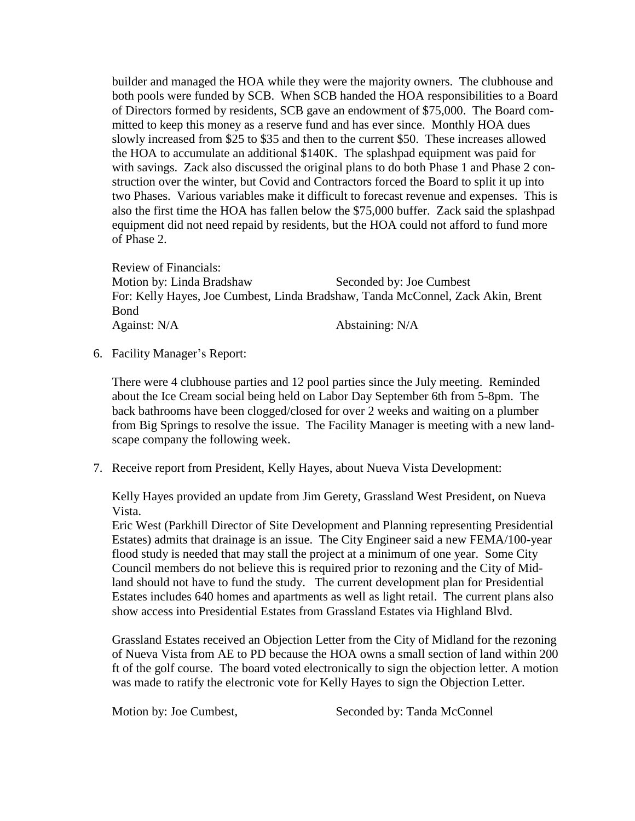builder and managed the HOA while they were the majority owners. The clubhouse and both pools were funded by SCB. When SCB handed the HOA responsibilities to a Board of Directors formed by residents, SCB gave an endowment of \$75,000. The Board committed to keep this money as a reserve fund and has ever since. Monthly HOA dues slowly increased from \$25 to \$35 and then to the current \$50. These increases allowed the HOA to accumulate an additional \$140K. The splashpad equipment was paid for with savings. Zack also discussed the original plans to do both Phase 1 and Phase 2 construction over the winter, but Covid and Contractors forced the Board to split it up into two Phases. Various variables make it difficult to forecast revenue and expenses. This is also the first time the HOA has fallen below the \$75,000 buffer. Zack said the splashpad equipment did not need repaid by residents, but the HOA could not afford to fund more of Phase 2.

Review of Financials: Motion by: Linda Bradshaw Seconded by: Joe Cumbest For: Kelly Hayes, Joe Cumbest, Linda Bradshaw, Tanda McConnel, Zack Akin, Brent Bond Against: N/A Abstaining: N/A

6. Facility Manager's Report:

There were 4 clubhouse parties and 12 pool parties since the July meeting. Reminded about the Ice Cream social being held on Labor Day September 6th from 5-8pm. The back bathrooms have been clogged/closed for over 2 weeks and waiting on a plumber from Big Springs to resolve the issue. The Facility Manager is meeting with a new landscape company the following week.

7. Receive report from President, Kelly Hayes, about Nueva Vista Development:

Kelly Hayes provided an update from Jim Gerety, Grassland West President, on Nueva Vista.

Eric West (Parkhill Director of Site Development and Planning representing Presidential Estates) admits that drainage is an issue. The City Engineer said a new FEMA/100-year flood study is needed that may stall the project at a minimum of one year. Some City Council members do not believe this is required prior to rezoning and the City of Midland should not have to fund the study. The current development plan for Presidential Estates includes 640 homes and apartments as well as light retail. The current plans also show access into Presidential Estates from Grassland Estates via Highland Blvd.

Grassland Estates received an Objection Letter from the City of Midland for the rezoning of Nueva Vista from AE to PD because the HOA owns a small section of land within 200 ft of the golf course. The board voted electronically to sign the objection letter. A motion was made to ratify the electronic vote for Kelly Hayes to sign the Objection Letter.

Motion by: Joe Cumbest, Seconded by: Tanda McConnel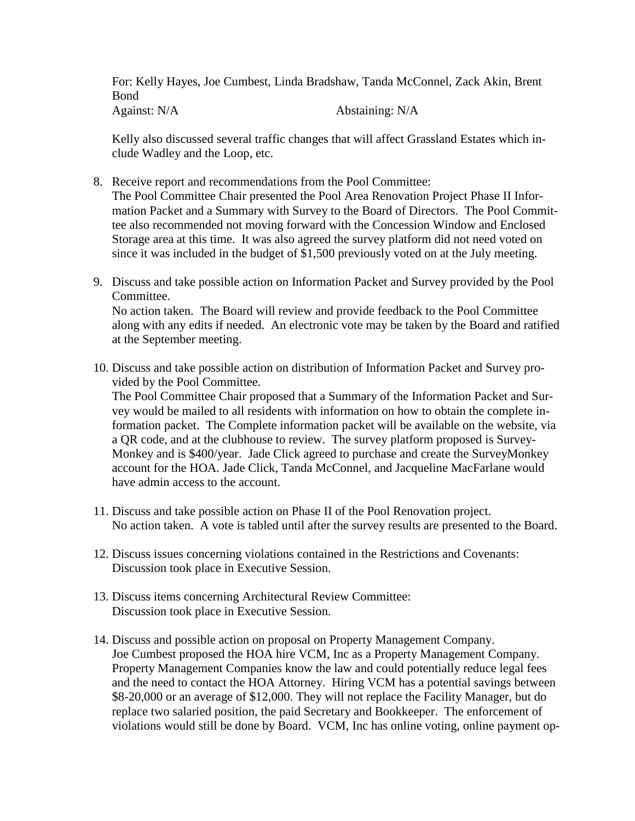For: Kelly Hayes, Joe Cumbest, Linda Bradshaw, Tanda McConnel, Zack Akin, Brent Bond Against: N/A Abstaining: N/A

Kelly also discussed several traffic changes that will affect Grassland Estates which in-

- clude Wadley and the Loop, etc.
- 8. Receive report and recommendations from the Pool Committee: The Pool Committee Chair presented the Pool Area Renovation Project Phase II Information Packet and a Summary with Survey to the Board of Directors. The Pool Committee also recommended not moving forward with the Concession Window and Enclosed Storage area at this time. It was also agreed the survey platform did not need voted on since it was included in the budget of \$1,500 previously voted on at the July meeting.
- 9. Discuss and take possible action on Information Packet and Survey provided by the Pool Committee.

No action taken. The Board will review and provide feedback to the Pool Committee along with any edits if needed. An electronic vote may be taken by the Board and ratified at the September meeting.

10. Discuss and take possible action on distribution of Information Packet and Survey provided by the Pool Committee.

The Pool Committee Chair proposed that a Summary of the Information Packet and Survey would be mailed to all residents with information on how to obtain the complete information packet. The Complete information packet will be available on the website, via a QR code, and at the clubhouse to review. The survey platform proposed is Survey-Monkey and is \$400/year. Jade Click agreed to purchase and create the SurveyMonkey account for the HOA. Jade Click, Tanda McConnel, and Jacqueline MacFarlane would have admin access to the account.

- 11. Discuss and take possible action on Phase II of the Pool Renovation project. No action taken. A vote is tabled until after the survey results are presented to the Board.
- 12. Discuss issues concerning violations contained in the Restrictions and Covenants: Discussion took place in Executive Session.
- 13. Discuss items concerning Architectural Review Committee: Discussion took place in Executive Session.
- 14. Discuss and possible action on proposal on Property Management Company. Joe Cumbest proposed the HOA hire VCM, Inc as a Property Management Company. Property Management Companies know the law and could potentially reduce legal fees and the need to contact the HOA Attorney. Hiring VCM has a potential savings between \$8-20,000 or an average of \$12,000. They will not replace the Facility Manager, but do replace two salaried position, the paid Secretary and Bookkeeper. The enforcement of violations would still be done by Board. VCM, Inc has online voting, online payment op-